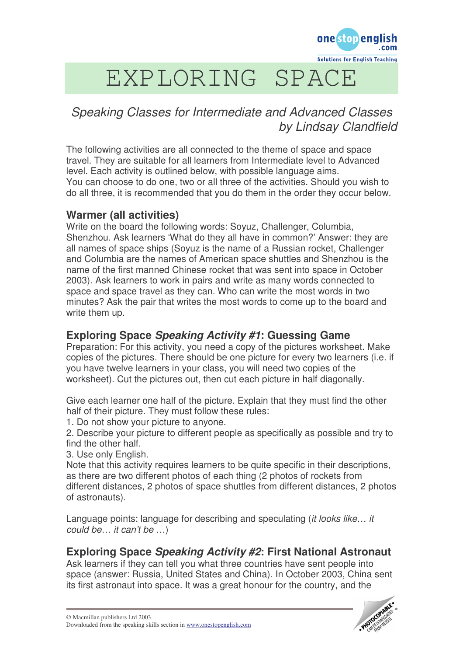

# EXPLORING SPACE

## *Speaking Classes for Intermediate and Advanced Classes by Lindsay Clandfield*

The following activities are all connected to the theme of space and space travel. They are suitable for all learners from Intermediate level to Advanced level. Each activity is outlined below, with possible language aims. You can choose to do one, two or all three of the activities. Should you wish to do all three, it is recommended that you do them in the order they occur below.

#### **Warmer (all activities)**

Write on the board the following words: Soyuz, Challenger, Columbia, Shenzhou. Ask learners 'What do they all have in common?' Answer: they are all names of space ships (Soyuz is the name of a Russian rocket, Challenger and Columbia are the names of American space shuttles and Shenzhou is the name of the first manned Chinese rocket that was sent into space in October 2003). Ask learners to work in pairs and write as many words connected to space and space travel as they can. Who can write the most words in two minutes? Ask the pair that writes the most words to come up to the board and write them up.

## **Exploring Space** *Speaking Activity #1***: Guessing Game**

Preparation: For this activity, you need a copy of the pictures worksheet. Make copies of the pictures. There should be one picture for every two learners (i.e. if you have twelve learners in your class, you will need two copies of the worksheet). Cut the pictures out, then cut each picture in half diagonally.

Give each learner one half of the picture. Explain that they must find the other half of their picture. They must follow these rules:

1. Do not show your picture to anyone.

2. Describe your picture to different people as specifically as possible and try to find the other half.

3. Use only English.

Note that this activity requires learners to be quite specific in their descriptions, as there are two different photos of each thing (2 photos of rockets from different distances, 2 photos of space shuttles from different distances, 2 photos of astronauts).

Language points: language for describing and speculating (*it looks like… it could be… it can't be …*)

## **Exploring Space** *Speaking Activity #2***: First National Astronaut**

Ask learners if they can tell you what three countries have sent people into space (answer: Russia, United States and China). In October 2003, China sent its first astronaut into space. It was a great honour for the country, and the

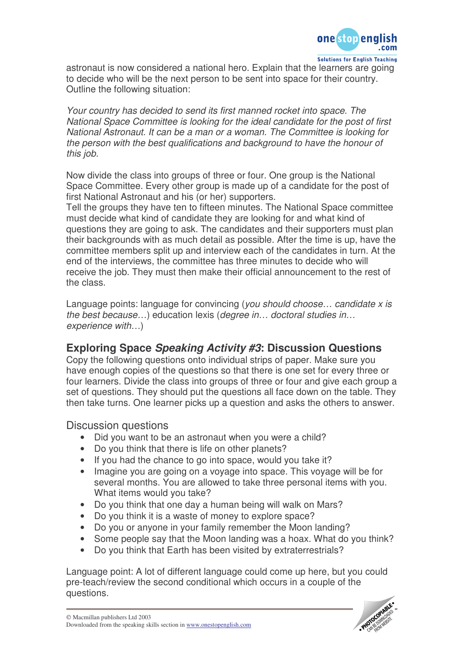

astronaut is now considered a national hero. Explain that the learners are going to decide who will be the next person to be sent into space for their country. Outline the following situation:

*Your country has decided to send its first manned rocket into space. The National Space Committee is looking for the ideal candidate for the post of first National Astronaut. It can be a man or a woman. The Committee is looking for the person with the best qualifications and background to have the honour of this job.*

Now divide the class into groups of three or four. One group is the National Space Committee. Every other group is made up of a candidate for the post of first National Astronaut and his (or her) supporters.

Tell the groups they have ten to fifteen minutes. The National Space committee must decide what kind of candidate they are looking for and what kind of questions they are going to ask. The candidates and their supporters must plan their backgrounds with as much detail as possible. After the time is up, have the committee members split up and interview each of the candidates in turn. At the end of the interviews, the committee has three minutes to decide who will receive the job. They must then make their official announcement to the rest of the class.

Language points: language for convincing (*you should choose… candidate x is the best because…*) education lexis (*degree in… doctoral studies in… experience with…*)

#### **Exploring Space** *Speaking Activity #3***: Discussion Questions**

Copy the following questions onto individual strips of paper. Make sure you have enough copies of the questions so that there is one set for every three or four learners. Divide the class into groups of three or four and give each group a set of questions. They should put the questions all face down on the table. They then take turns. One learner picks up a question and asks the others to answer.

Discussion questions

- Did you want to be an astronaut when you were a child?
- Do you think that there is life on other planets?
- If you had the chance to go into space, would you take it?
- Imagine you are going on a voyage into space. This voyage will be for several months. You are allowed to take three personal items with you. What items would you take?
- Do you think that one day a human being will walk on Mars?
- Do you think it is a waste of money to explore space?
- Do you or anyone in your family remember the Moon landing?
- Some people say that the Moon landing was a hoax. What do you think?
- Do you think that Earth has been visited by extraterrestrials?

Language point: A lot of different language could come up here, but you could pre-teach/review the second conditional which occurs in a couple of the questions.